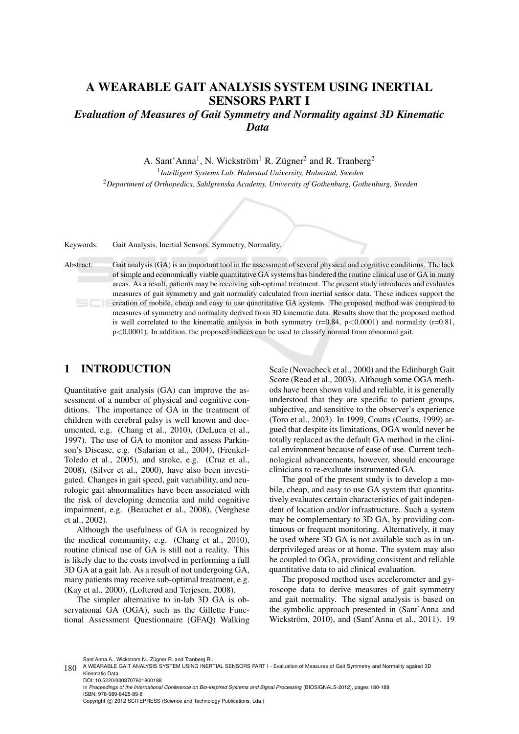# A WEARABLE GAIT ANALYSIS SYSTEM USING INERTIAL SENSORS PART I

*Evaluation of Measures of Gait Symmetry and Normality against 3D Kinematic Data*

A. Sant'Anna<sup>1</sup>, N. Wickström<sup>1</sup> R. Zügner<sup>2</sup> and R. Tranberg<sup>2</sup>

1 *Intelligent Systems Lab, Halmstad University, Halmstad, Sweden* <sup>2</sup>*Department of Orthopedics, Sahlgrenska Academy, University of Gothenburg, Gothenburg, Sweden*

Keywords: Gait Analysis, Inertial Sensors, Symmetry, Normality.

Abstract: Gait analysis (GA) is an important tool in the assessment of several physical and cognitive conditions. The lack of simple and economically viable quantitative GA systems has hindered the routine clinical use of GA in many areas. As a result, patients may be receiving sub-optimal treatment. The present study introduces and evaluates measures of gait symmetry and gait normality calculated from inertial sensor data. These indices support the creation of mobile, cheap and easy to use quantitative GA systems. The proposed method was compared to measures of symmetry and normality derived from 3D kinematic data. Results show that the proposed method is well correlated to the kinematic analysis in both symmetry  $(r=0.84, p<0.0001)$  and normality  $(r=0.81, p<0.0001)$  $p<0.0001$ ). In addition, the proposed indices can be used to classify normal from abnormal gait.

# 1 INTRODUCTION

Quantitative gait analysis (GA) can improve the assessment of a number of physical and cognitive conditions. The importance of GA in the treatment of children with cerebral palsy is well known and documented, e.g. (Chang et al., 2010), (DeLuca et al., 1997). The use of GA to monitor and assess Parkinson's Disease, e.g. (Salarian et al., 2004), (Frenkel-Toledo et al., 2005), and stroke, e.g. (Cruz et al., 2008), (Silver et al., 2000), have also been investigated. Changes in gait speed, gait variability, and neurologic gait abnormalities have been associated with the risk of developing dementia and mild cognitive impairment, e.g. (Beauchet et al., 2008), (Verghese et al., 2002).

Although the usefulness of GA is recognized by the medical community, e.g. (Chang et al., 2010), routine clinical use of GA is still not a reality. This is likely due to the costs involved in performing a full 3D GA at a gait lab. As a result of not undergoing GA, many patients may receive sub-optimal treatment, e.g. (Kay et al., 2000), (Lofterød and Terjesen, 2008).

The simpler alternative to in-lab 3D GA is observational GA (OGA), such as the Gillette Functional Assessment Questionnaire (GFAQ) Walking

Scale (Novacheck et al., 2000) and the Edinburgh Gait Score (Read et al., 2003). Although some OGA methods have been shown valid and reliable, it is generally understood that they are specific to patient groups, subjective, and sensitive to the observer's experience (Toro et al., 2003). In 1999, Coutts (Coutts, 1999) argued that despite its limitations, OGA would never be totally replaced as the default GA method in the clinical environment because of ease of use. Current technological advancements, however, should encourage clinicians to re-evaluate instrumented GA.

The goal of the present study is to develop a mobile, cheap, and easy to use GA system that quantitatively evaluates certain characteristics of gait independent of location and/or infrastructure. Such a system may be complementary to 3D GA, by providing continuous or frequent monitoring. Alternatively, it may be used where 3D GA is not available such as in underprivileged areas or at home. The system may also be coupled to OGA, providing consistent and reliable quantitative data to aid clinical evaluation.

The proposed method uses accelerometer and gyroscope data to derive measures of gait symmetry and gait normality. The signal analysis is based on the symbolic approach presented in (Sant'Anna and Wickström, 2010), and (Sant'Anna et al., 2011). 19

Sant'Anna A., Wickstrom N., Zügner R. and Tranberg R..

DOI: 10.5220/0003707601800188 In *Proceedings of the International Conference on Bio-inspired Systems and Signal Processing* (BIOSIGNALS-2012), pages 180-188 ISBN: 978-989-8425-89-8 Copyright © 2012 SCITEPRESS (Science and Technology Publications, Lda.)

<sup>180</sup> A WEARABLE GAIT ANALYSIS SYSTEM USING INERTIAL SENSORS PART I - Evaluation of Measures of Gait Symmetry and Normality against 3D<br>
We want to be all the State of the State of the State of the State of the State of the S Kinematic Data.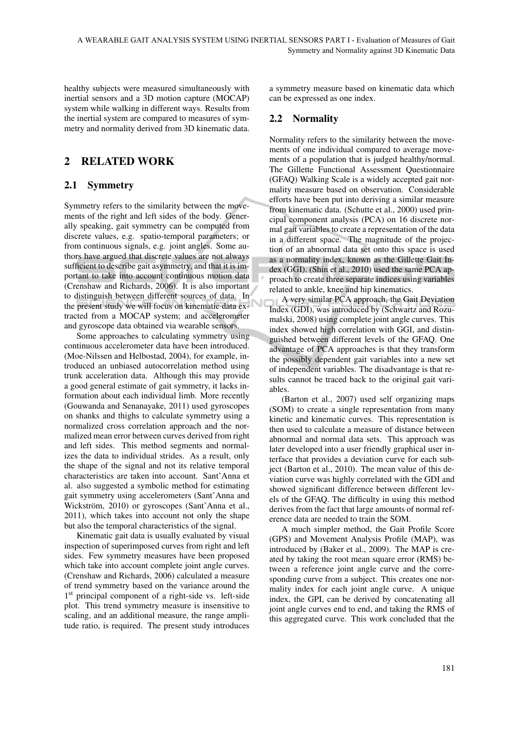healthy subjects were measured simultaneously with inertial sensors and a 3D motion capture (MOCAP) system while walking in different ways. Results from the inertial system are compared to measures of symmetry and normality derived from 3D kinematic data.

# 2 RELATED WORK

### 2.1 Symmetry

Symmetry refers to the similarity between the movements of the right and left sides of the body. Generally speaking, gait symmetry can be computed from discrete values, e.g. spatio-temporal parameters; or from continuous signals, e.g. joint angles. Some authors have argued that discrete values are not always sufficient to describe gait asymmetry, and that it is important to take into account continuous motion data (Crenshaw and Richards, 2006). It is also important to distinguish between different sources of data. In the present study we will focus on kinematic data extracted from a MOCAP system; and accelerometer and gyroscope data obtained via wearable sensors.

Some approaches to calculating symmetry using continuous accelerometer data have been introduced. (Moe-Nilssen and Helbostad, 2004), for example, introduced an unbiased autocorrelation method using trunk acceleration data. Although this may provide a good general estimate of gait symmetry, it lacks information about each individual limb. More recently (Gouwanda and Senanayake, 2011) used gyroscopes on shanks and thighs to calculate symmetry using a normalized cross correlation approach and the normalized mean error between curves derived from right and left sides. This method segments and normalizes the data to individual strides. As a result, only the shape of the signal and not its relative temporal characteristics are taken into account. Sant'Anna et al. also suggested a symbolic method for estimating gait symmetry using accelerometers (Sant'Anna and Wickström, 2010) or gyroscopes (Sant'Anna et al., 2011), which takes into account not only the shape but also the temporal characteristics of the signal.

Kinematic gait data is usually evaluated by visual inspection of superimposed curves from right and left sides. Few symmetry measures have been proposed which take into account complete joint angle curves. (Crenshaw and Richards, 2006) calculated a measure of trend symmetry based on the variance around the 1 st principal component of a right-side vs. left-side plot. This trend symmetry measure is insensitive to scaling, and an additional measure, the range amplitude ratio, is required. The present study introduces a symmetry measure based on kinematic data which can be expressed as one index.

### 2.2 Normality

Normality refers to the similarity between the movements of one individual compared to average movements of a population that is judged healthy/normal. The Gillette Functional Assessment Questionnaire (GFAQ) Walking Scale is a widely accepted gait normality measure based on observation. Considerable efforts have been put into deriving a similar measure from kinematic data. (Schutte et al., 2000) used principal component analysis (PCA) on 16 discrete normal gait variables to create a representation of the data in a different space. The magnitude of the projection of an abnormal data set onto this space is used as a normality index, known as the Gillette Gait Index (GGI). (Shin et al., 2010) used the same PCA approach to create three separate indices using variables related to ankle, knee and hip kinematics.

A very similar PCA approach, the Gait Deviation Index (GDI), was introduced by (Schwartz and Rozumalski, 2008) using complete joint angle curves. This index showed high correlation with GGI, and distinguished between different levels of the GFAQ. One advantage of PCA approaches is that they transform the possibly dependent gait variables into a new set of independent variables. The disadvantage is that results cannot be traced back to the original gait variables.

(Barton et al., 2007) used self organizing maps (SOM) to create a single representation from many kinetic and kinematic curves. This representation is then used to calculate a measure of distance between abnormal and normal data sets. This approach was later developed into a user friendly graphical user interface that provides a deviation curve for each subject (Barton et al., 2010). The mean value of this deviation curve was highly correlated with the GDI and showed significant difference between different levels of the GFAQ. The difficulty in using this method derives from the fact that large amounts of normal reference data are needed to train the SOM.

A much simpler method, the Gait Profile Score (GPS) and Movement Analysis Profile (MAP), was introduced by (Baker et al., 2009). The MAP is created by taking the root mean square error (RMS) between a reference joint angle curve and the corresponding curve from a subject. This creates one normality index for each joint angle curve. A unique index, the GPI, can be derived by concatenating all joint angle curves end to end, and taking the RMS of this aggregated curve. This work concluded that the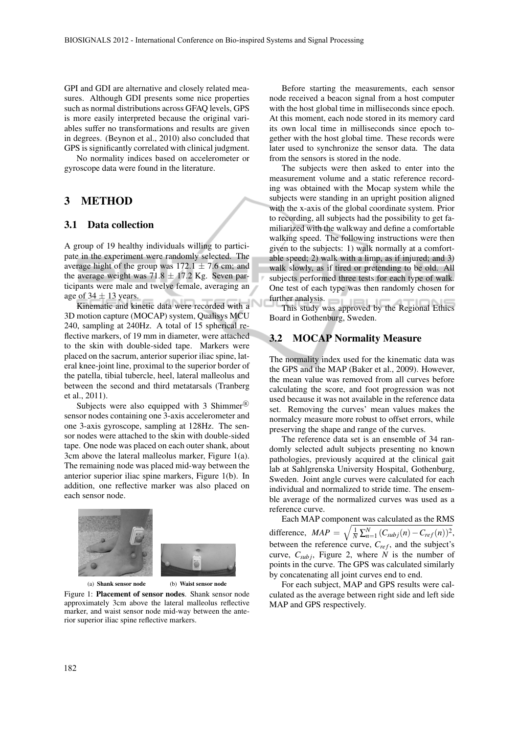GPI and GDI are alternative and closely related measures. Although GDI presents some nice properties such as normal distributions across GFAQ levels, GPS is more easily interpreted because the original variables suffer no transformations and results are given in degrees. (Beynon et al., 2010) also concluded that GPS is significantly correlated with clinical judgment.

No normality indices based on accelerometer or gyroscope data were found in the literature.

### 3 METHOD

#### 3.1 Data collection

A group of 19 healthy individuals willing to participate in the experiment were randomly selected. The average hight of the group was  $172.1 \pm 7.6$  cm; and the average weight was 71.8  $\pm$  17.2 Kg. Seven participants were male and twelve female, averaging an age of  $34 \pm 13$  years.

Kinematic and kinetic data were recorded with a 3D motion capture (MOCAP) system, Qualisys MCU 240, sampling at 240Hz. A total of 15 spherical reflective markers, of 19 mm in diameter, were attached to the skin with double-sided tape. Markers were placed on the sacrum, anterior superior iliac spine, lateral knee-joint line, proximal to the superior border of the patella, tibial tubercle, heel, lateral malleolus and between the second and third metatarsals (Tranberg et al., 2011).

Subjects were also equipped with 3 Shimmer<sup>®</sup> sensor nodes containing one 3-axis accelerometer and one 3-axis gyroscope, sampling at 128Hz. The sensor nodes were attached to the skin with double-sided tape. One node was placed on each outer shank, about 3cm above the lateral malleolus marker, Figure 1(a). The remaining node was placed mid-way between the anterior superior iliac spine markers, Figure 1(b). In addition, one reflective marker was also placed on each sensor node.



(a) Shank sensor node (b) Waist sensor node

Figure 1: Placement of sensor nodes. Shank sensor node approximately 3cm above the lateral malleolus reflective marker, and waist sensor node mid-way between the anterior superior iliac spine reflective markers.

Before starting the measurements, each sensor node received a beacon signal from a host computer with the host global time in milliseconds since epoch. At this moment, each node stored in its memory card its own local time in milliseconds since epoch together with the host global time. These records were later used to synchronize the sensor data. The data from the sensors is stored in the node.

The subjects were then asked to enter into the measurement volume and a static reference recording was obtained with the Mocap system while the subjects were standing in an upright position aligned with the x-axis of the global coordinate system. Prior to recording, all subjects had the possibility to get familiarized with the walkway and define a comfortable walking speed. The following instructions were then given to the subjects: 1) walk normally at a comfortable speed; 2) walk with a limp, as if injured; and 3) walk slowly, as if tired or pretending to be old. All subjects performed three tests for each type of walk. One test of each type was then randomly chosen for further analysis.

This study was approved by the Regional Ethics Board in Gothenburg, Sweden.

### 3.2 MOCAP Normality Measure

The normality index used for the kinematic data was the GPS and the MAP (Baker et al., 2009). However, the mean value was removed from all curves before calculating the score, and foot progression was not used because it was not available in the reference data set. Removing the curves' mean values makes the normalcy measure more robust to offset errors, while preserving the shape and range of the curves.

The reference data set is an ensemble of 34 randomly selected adult subjects presenting no known pathologies, previously acquired at the clinical gait lab at Sahlgrenska University Hospital, Gothenburg, Sweden. Joint angle curves were calculated for each individual and normalized to stride time. The ensemble average of the normalized curves was used as a reference curve.

Each MAP component was calculated as the RMS difference,  $MAP = \sqrt{\frac{1}{N} \sum_{n=1}^{N} (C_{subj}(n) - C_{ref}(n))^2}$ , between the reference curve,  $C_{ref}$ , and the subject's curve,  $C_{\text{sub}}$ ; Figure 2, where *N* is the number of points in the curve. The GPS was calculated similarly by concatenating all joint curves end to end.

For each subject, MAP and GPS results were calculated as the average between right side and left side MAP and GPS respectively.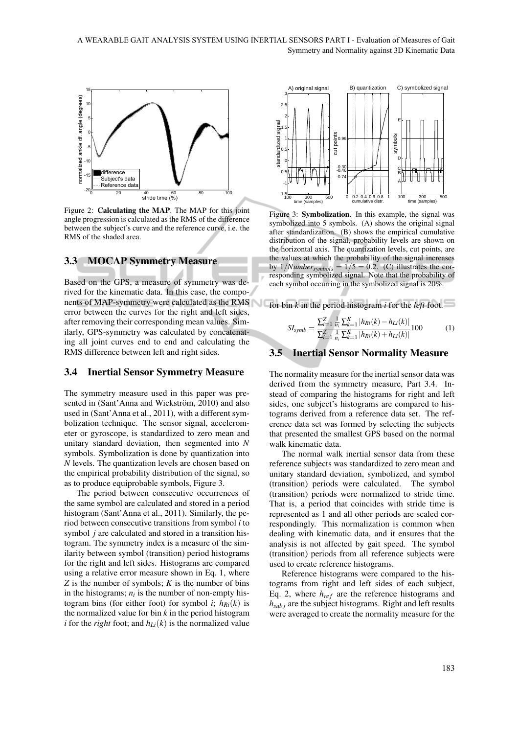

Figure 2: Calculating the MAP. The MAP for this joint angle progression is calculated as the RMS of the difference between the subject's curve and the reference curve, i.e. the RMS of the shaded area.

### 3.3 MOCAP Symmetry Measure

Based on the GPS, a measure of symmetry was derived for the kinematic data. In this case, the components of MAP-symmetry were calculated as the RMS for bin *k* in the period histogram *i* for the *left* foot. error between the curves for the right and left sides, after removing their corresponding mean values. Similarly, GPS-symmetry was calculated by concatenating all joint curves end to end and calculating the RMS difference between left and right sides.

#### 3.4 Inertial Sensor Symmetry Measure

The symmetry measure used in this paper was presented in (Sant'Anna and Wickström, 2010) and also used in (Sant'Anna et al., 2011), with a different symbolization technique. The sensor signal, accelerometer or gyroscope, is standardized to zero mean and unitary standard deviation, then segmented into *N* symbols. Symbolization is done by quantization into *N* levels. The quantization levels are chosen based on the empirical probability distribution of the signal, so as to produce equiprobable symbols, Figure 3.

The period between consecutive occurrences of the same symbol are calculated and stored in a period histogram (Sant'Anna et al., 2011). Similarly, the period between consecutive transitions from symbol *i* to symbol *j* are calculated and stored in a transition histogram. The symmetry index is a measure of the similarity between symbol (transition) period histograms for the right and left sides. Histograms are compared using a relative error measure shown in Eq. 1, where *Z* is the number of symbols; *K* is the number of bins in the histograms;  $n_i$  is the number of non-empty histogram bins (for either foot) for symbol *i*;  $h_{Ri}(k)$  is the normalized value for bin *k* in the period histogram *i* for the *right* foot; and  $h_{Li}(k)$  is the normalized value



Figure 3: Symbolization. In this example, the signal was symbolized into 5 symbols. (A) shows the original signal after standardization. (B) shows the empirical cumulative distribution of the signal, probability levels are shown on the horizontal axis. The quantization levels, cut points, are the values at which the probability of the signal increases by  $1/Number_{symbols} = 1/5 = 0.2$ . (C) illustrates the corresponding symbolized signal. Note that the probability of each symbol occurring in the symbolized signal is 20%.

$$
SI_{symb} = \frac{\sum_{i=1}^{Z} \frac{1}{n_i} \sum_{k=1}^{K} |h_{Ri}(k) - h_{Li}(k)|}{\sum_{i=1}^{Z} \frac{1}{n_i} \sum_{k=1}^{K} |h_{Ri}(k) + h_{Li}(k)|} 100
$$
 (1)

#### 3.5 Inertial Sensor Normality Measure

The normality measure for the inertial sensor data was derived from the symmetry measure, Part 3.4. Instead of comparing the histograms for right and left sides, one subject's histograms are compared to histograms derived from a reference data set. The reference data set was formed by selecting the subjects that presented the smallest GPS based on the normal walk kinematic data.

The normal walk inertial sensor data from these reference subjects was standardized to zero mean and unitary standard deviation, symbolized, and symbol (transition) periods were calculated. The symbol (transition) periods were normalized to stride time. That is, a period that coincides with stride time is represented as 1 and all other periods are scaled correspondingly. This normalization is common when dealing with kinematic data, and it ensures that the analysis is not affected by gait speed. The symbol (transition) periods from all reference subjects were used to create reference histograms.

Reference histograms were compared to the histograms from right and left sides of each subject, Eq. 2, where  $h_{ref}$  are the reference histograms and *hsub j* are the subject histograms. Right and left results were averaged to create the normality measure for the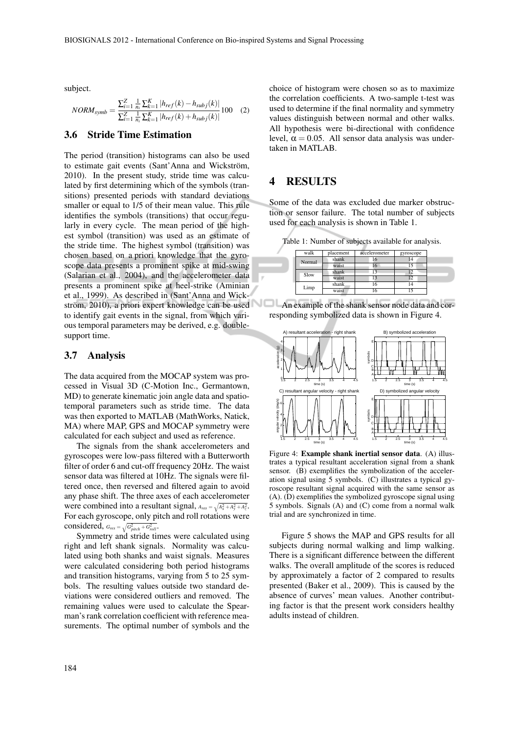subject.

$$
NORM_{symb} = \frac{\sum_{i=1}^{Z} \frac{1}{n_i} \sum_{k=1}^{K} |h_{ref}(k) - h_{subj}(k)|}{\sum_{i=1}^{Z} \frac{1}{n_i} \sum_{k=1}^{K} |h_{ref}(k) + h_{subj}(k)|} 100 \quad (2)
$$

#### 3.6 Stride Time Estimation

The period (transition) histograms can also be used to estimate gait events (Sant'Anna and Wickström, 2010). In the present study, stride time was calculated by first determining which of the symbols (transitions) presented periods with standard deviations smaller or equal to 1/5 of their mean value. This rule identifies the symbols (transitions) that occur regularly in every cycle. The mean period of the highest symbol (transition) was used as an estimate of the stride time. The highest symbol (transition) was chosen based on a priori knowledge that the gyroscope data presents a prominent spike at mid-swing (Salarian et al., 2004), and the accelerometer data presents a prominent spike at heel-strike (Aminian et al., 1999). As described in (Sant'Anna and Wickström, 2010), a priori expert knowledge can be used to identify gait events in the signal, from which various temporal parameters may be derived, e.g. doublesupport time.

#### 3.7 Analysis

The data acquired from the MOCAP system was processed in Visual 3D (C-Motion Inc., Germantown, MD) to generate kinematic join angle data and spatiotemporal parameters such as stride time. The data was then exported to MATLAB (MathWorks, Natick, MA) where MAP, GPS and MOCAP symmetry were calculated for each subject and used as reference.

The signals from the shank accelerometers and gyroscopes were low-pass filtered with a Butterworth filter of order 6 and cut-off frequency 20Hz. The waist sensor data was filtered at 10Hz. The signals were filtered once, then reversed and filtered again to avoid any phase shift. The three axes of each accelerometer were combined into a resultant signal,  $A_{res} = \sqrt{A_x^2 + A_y^2 + A_z^2}$ . For each gyroscope, only pitch and roll rotations were considered,  $G_{res} = \sqrt{G_{pitch}^2 + G_{roll}^2}$ .

Symmetry and stride times were calculated using right and left shank signals. Normality was calculated using both shanks and waist signals. Measures were calculated considering both period histograms and transition histograms, varying from 5 to 25 symbols. The resulting values outside two standard deviations were considered outliers and removed. The remaining values were used to calculate the Spearman's rank correlation coefficient with reference measurements. The optimal number of symbols and the

choice of histogram were chosen so as to maximize the correlation coefficients. A two-sample t-test was used to determine if the final normality and symmetry values distinguish between normal and other walks. All hypothesis were bi-directional with confidence level,  $\alpha = 0.05$ . All sensor data analysis was undertaken in MATLAB.

### 4 RESULTS

Some of the data was excluded due marker obstruction or sensor failure. The total number of subjects used for each analysis is shown in Table 1.

Table 1: Number of subjects available for analysis.

| walk   | placement | accelerometer | gyroscope |
|--------|-----------|---------------|-----------|
| Normal | shank     | 16            |           |
|        | waist     | 16            | 15        |
| Slow   | shank     | 13            |           |
|        | waist     | 13            |           |
| Limp   | shank.    | 16            | 14        |
|        | waist     |               |           |





Figure 4: Example shank inertial sensor data. (A) illustrates a typical resultant acceleration signal from a shank sensor. (B) exemplifies the symbolization of the acceleration signal using 5 symbols. (C) illustrates a typical gyroscope resultant signal acquired with the same sensor as (A). (D) exemplifies the symbolized gyroscope signal using 5 symbols. Signals (A) and (C) come from a normal walk trial and are synchronized in time.

Figure 5 shows the MAP and GPS results for all subjects during normal walking and limp walking. There is a significant difference between the different walks. The overall amplitude of the scores is reduced by approximately a factor of 2 compared to results presented (Baker et al., 2009). This is caused by the absence of curves' mean values. Another contributing factor is that the present work considers healthy adults instead of children.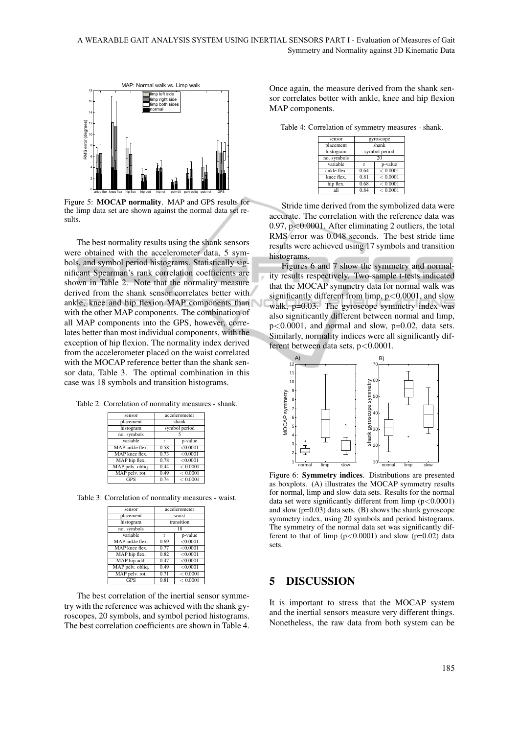

Figure 5: MOCAP normality. MAP and GPS results for the limp data set are shown against the normal data set results.

The best normality results using the shank sensors were obtained with the accelerometer data, 5 symbols, and symbol period histograms. Statistically significant Spearman's rank correlation coefficients are shown in Table 2. Note that the normality measure derived from the shank sensor correlates better with ankle, knee and hip flexion MAP components than with the other MAP components. The combination of all MAP components into the GPS, however, correlates better than most individual components, with the exception of hip flexion. The normality index derived from the accelerometer placed on the waist correlated with the MOCAP reference better than the shank sensor data, Table 3. The optimal combination in this case was 18 symbols and transition histograms.

Table 2: Correlation of normality measures - shank.

| sensor           | accelerometer |          |
|------------------|---------------|----------|
| placement        | shank         |          |
| histogram        | symbol period |          |
| no. symbols      |               |          |
| variable         | r             | p-value  |
| MAP ankle flex.  | 0.58          | < 0.0001 |
| MAP knee flex.   | 0.73          | < 0.0001 |
| MAP hip flex.    | 0.78          | < 0.0001 |
| MAP pelv. obliq. | 0.44          | < 0.0001 |
| MAP pelv. rot.   | 0.49          | < 0.0001 |
|                  | 0.74          | < 0.0001 |

Table 3: Correlation of normality measures - waist.

| sensor           | accelerometer |          |  |
|------------------|---------------|----------|--|
| placement        | waist         |          |  |
| histogram        | transition    |          |  |
| no. symbols      | 18            |          |  |
| variable         | r             | p-value  |  |
| MAP ankle flex.  | 0.69          | < 0.0001 |  |
| MAP knee flex.   | 0.77          | < 0.0001 |  |
| MAP hip flex.    | 0.82          | < 0.0001 |  |
| MAP hip add.     | 0.47          | < 0.0001 |  |
| MAP pelv. obliq. | 0.49          | < 0.0001 |  |
| MAP pelv. rot.   | 0.71          | < 0.0001 |  |
| <b>GPS</b>       | 0.81          | < 0.0001 |  |

The best correlation of the inertial sensor symmetry with the reference was achieved with the shank gyroscopes, 20 symbols, and symbol period histograms. The best correlation coefficients are shown in Table 4.

Once again, the measure derived from the shank sensor correlates better with ankle, knee and hip flexion MAP components.

Table 4: Correlation of symmetry measures - shank.

| gyroscope     |          |  |
|---------------|----------|--|
| shank         |          |  |
| symbol period |          |  |
| 20            |          |  |
| r             | p-value  |  |
| 0.64          | < 0.0001 |  |
| 0.81          | < 0.0001 |  |
| 0.68          | < 0.0001 |  |
| 0.84          | < 0.0001 |  |
|               |          |  |

Stride time derived from the symbolized data were accurate. The correlation with the reference data was 0.97, p<0.0001. After eliminating 2 outliers, the total RMS error was 0.048 seconds. The best stride time results were achieved using 17 symbols and transition histograms.

Figures 6 and 7 show the symmetry and normality results respectively. Two-sample t-tests indicated that the MOCAP symmetry data for normal walk was significantly different from limp,  $p < 0.0001$ , and slow walk, p=0.03. The gyroscope symmetry index was also significantly different between normal and limp, p<0.0001, and normal and slow, p=0.02, data sets. Similarly, normality indices were all significantly different between data sets, p<0.0001.



Figure 6: Symmetry indices. Distributions are presented as boxplots. (A) illustrates the MOCAP symmetry results for normal, limp and slow data sets. Results for the normal data set were significantly different from limp  $(p<0.0001)$ and slow (p=0.03) data sets. (B) shows the shank gyroscope symmetry index, using 20 symbols and period histograms. The symmetry of the normal data set was significantly different to that of limp  $(p<0.0001)$  and slow  $(p=0.02)$  data sets.

### 5 DISCUSSION

It is important to stress that the MOCAP system and the inertial sensors measure very different things. Nonetheless, the raw data from both system can be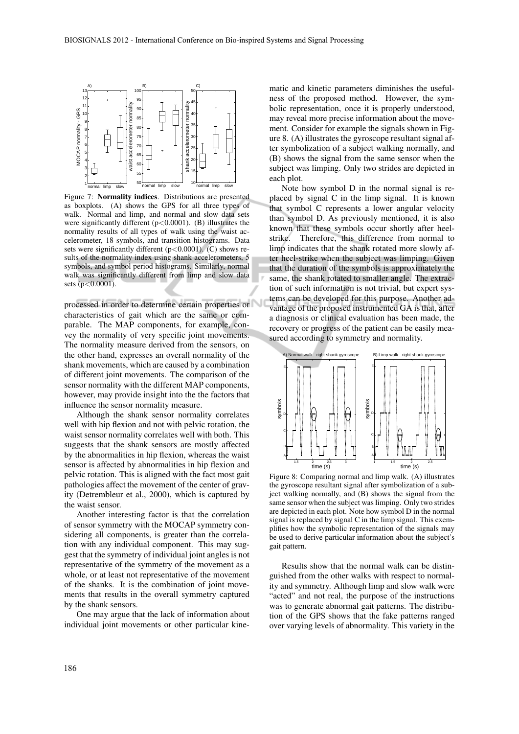

Figure 7: Normality indices. Distributions are presented as boxplots. (A) shows the GPS for all three types of walk. Normal and limp, and normal and slow data sets were significantly different  $(p<0.0001)$ . (B) illustrates the normality results of all types of walk using the waist accelerometer, 18 symbols, and transition histograms. Data sets were significantly different  $(p<0.0001)$ . (C) shows results of the normality index using shank accelerometers, 5 symbols, and symbol period histograms. Similarly, normal walk was significantly different from limp and slow data sets (p<0.0001).

processed in order to determine certain properties or characteristics of gait which are the same or comparable. The MAP components, for example, convey the normality of very specific joint movements. The normality measure derived from the sensors, on the other hand, expresses an overall normality of the shank movements, which are caused by a combination of different joint movements. The comparison of the sensor normality with the different MAP components, however, may provide insight into the the factors that influence the sensor normality measure.

Although the shank sensor normality correlates well with hip flexion and not with pelvic rotation, the waist sensor normality correlates well with both. This suggests that the shank sensors are mostly affected by the abnormalities in hip flexion, whereas the waist sensor is affected by abnormalities in hip flexion and pelvic rotation. This is aligned with the fact most gait pathologies affect the movement of the center of gravity (Detrembleur et al., 2000), which is captured by the waist sensor.

Another interesting factor is that the correlation of sensor symmetry with the MOCAP symmetry considering all components, is greater than the correlation with any individual component. This may suggest that the symmetry of individual joint angles is not representative of the symmetry of the movement as a whole, or at least not representative of the movement of the shanks. It is the combination of joint movements that results in the overall symmetry captured by the shank sensors.

One may argue that the lack of information about individual joint movements or other particular kine-

matic and kinetic parameters diminishes the usefulness of the proposed method. However, the symbolic representation, once it is properly understood, may reveal more precise information about the movement. Consider for example the signals shown in Figure 8. (A) illustrates the gyroscope resultant signal after symbolization of a subject walking normally, and (B) shows the signal from the same sensor when the subject was limping. Only two strides are depicted in each plot.

Note how symbol D in the normal signal is replaced by signal C in the limp signal. It is known that symbol C represents a lower angular velocity than symbol D. As previously mentioned, it is also known that these symbols occur shortly after heelstrike. Therefore, this difference from normal to limp indicates that the shank rotated more slowly after heel-strike when the subject was limping. Given that the duration of the symbols is approximately the same, the shank rotated to smaller angle. The extraction of such information is not trivial, but expert systems can be developed for this purpose. Another advantage of the proposed instrumented GA is that, after a diagnosis or clinical evaluation has been made, the recovery or progress of the patient can be easily measured according to symmetry and normality.



Figure 8: Comparing normal and limp walk. (A) illustrates the gyroscope resultant signal after symbolization of a subject walking normally, and (B) shows the signal from the same sensor when the subject was limping. Only two strides are depicted in each plot. Note how symbol D in the normal signal is replaced by signal C in the limp signal. This exemplifies how the symbolic representation of the signals may be used to derive particular information about the subject's gait pattern.

Results show that the normal walk can be distinguished from the other walks with respect to normality and symmetry. Although limp and slow walk were "acted" and not real, the purpose of the instructions was to generate abnormal gait patterns. The distribution of the GPS shows that the fake patterns ranged over varying levels of abnormality. This variety in the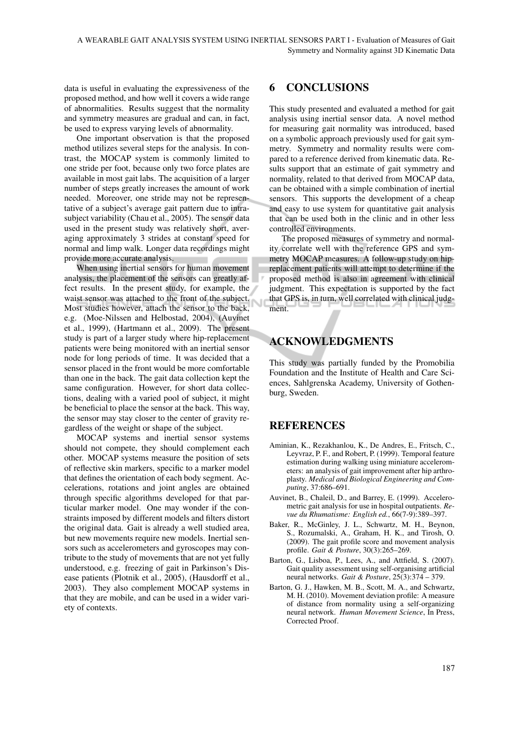data is useful in evaluating the expressiveness of the proposed method, and how well it covers a wide range of abnormalities. Results suggest that the normality and symmetry measures are gradual and can, in fact, be used to express varying levels of abnormality.

One important observation is that the proposed method utilizes several steps for the analysis. In contrast, the MOCAP system is commonly limited to one stride per foot, because only two force plates are available in most gait labs. The acquisition of a larger number of steps greatly increases the amount of work needed. Moreover, one stride may not be representative of a subject's average gait pattern due to intrasubject variability (Chau et al., 2005). The sensor data used in the present study was relatively short, averaging approximately 3 strides at constant speed for normal and limp walk. Longer data recordings might provide more accurate analysis.

When using inertial sensors for human movement analysis, the placement of the sensors can greatly affect results. In the present study, for example, the waist sensor was attached to the front of the subject. Most studies however, attach the sensor to the back, e.g. (Moe-Nilssen and Helbostad, 2004), (Auvinet et al., 1999), (Hartmann et al., 2009). The present study is part of a larger study where hip-replacement patients were being monitored with an inertial sensor node for long periods of time. It was decided that a sensor placed in the front would be more comfortable than one in the back. The gait data collection kept the same configuration. However, for short data collections, dealing with a varied pool of subject, it might be beneficial to place the sensor at the back. This way, the sensor may stay closer to the center of gravity regardless of the weight or shape of the subject.

MOCAP systems and inertial sensor systems should not compete, they should complement each other. MOCAP systems measure the position of sets of reflective skin markers, specific to a marker model that defines the orientation of each body segment. Accelerations, rotations and joint angles are obtained through specific algorithms developed for that particular marker model. One may wonder if the constraints imposed by different models and filters distort the original data. Gait is already a well studied area, but new movements require new models. Inertial sensors such as accelerometers and gyroscopes may contribute to the study of movements that are not yet fully understood, e.g. freezing of gait in Parkinson's Disease patients (Plotnik et al., 2005), (Hausdorff et al., 2003). They also complement MOCAP systems in that they are mobile, and can be used in a wider variety of contexts.

# 6 CONCLUSIONS

This study presented and evaluated a method for gait analysis using inertial sensor data. A novel method for measuring gait normality was introduced, based on a symbolic approach previously used for gait symmetry. Symmetry and normality results were compared to a reference derived from kinematic data. Results support that an estimate of gait symmetry and normality, related to that derived from MOCAP data, can be obtained with a simple combination of inertial sensors. This supports the development of a cheap and easy to use system for quantitative gait analysis that can be used both in the clinic and in other less controlled environments.

The proposed measures of symmetry and normality correlate well with the reference GPS and symmetry MOCAP measures. A follow-up study on hipreplacement patients will attempt to determine if the proposed method is also in agreement with clinical judgment. This expectation is supported by the fact that GPS is, in turn, well correlated with clinical judgment.

# ACKNOWLEDGMENTS

This study was partially funded by the Promobilia Foundation and the Institute of Health and Care Sciences, Sahlgrenska Academy, University of Gothenburg, Sweden.

# **REFERENCES**

- Aminian, K., Rezakhanlou, K., De Andres, E., Fritsch, C., Leyvraz, P. F., and Robert, P. (1999). Temporal feature estimation during walking using miniature accelerometers: an analysis of gait improvement after hip arthroplasty. *Medical and Biological Engineering and Computing*, 37:686–691.
- Auvinet, B., Chaleil, D., and Barrey, E. (1999). Accelerometric gait analysis for use in hospital outpatients. *Revue du Rhumatisme: English ed.*, 66(7-9):389–397.
- Baker, R., McGinley, J. L., Schwartz, M. H., Beynon, S., Rozumalski, A., Graham, H. K., and Tirosh, O. (2009). The gait profile score and movement analysis profile. *Gait & Posture*, 30(3):265–269.
- Barton, G., Lisboa, P., Lees, A., and Attfield, S. (2007). Gait quality assessment using self-organising artificial neural networks. *Gait & Posture*, 25(3):374 – 379.
- Barton, G. J., Hawken, M. B., Scott, M. A., and Schwartz, M. H. (2010). Movement deviation profile: A measure of distance from normality using a self-organizing neural network. *Human Movement Science*, In Press, Corrected Proof.